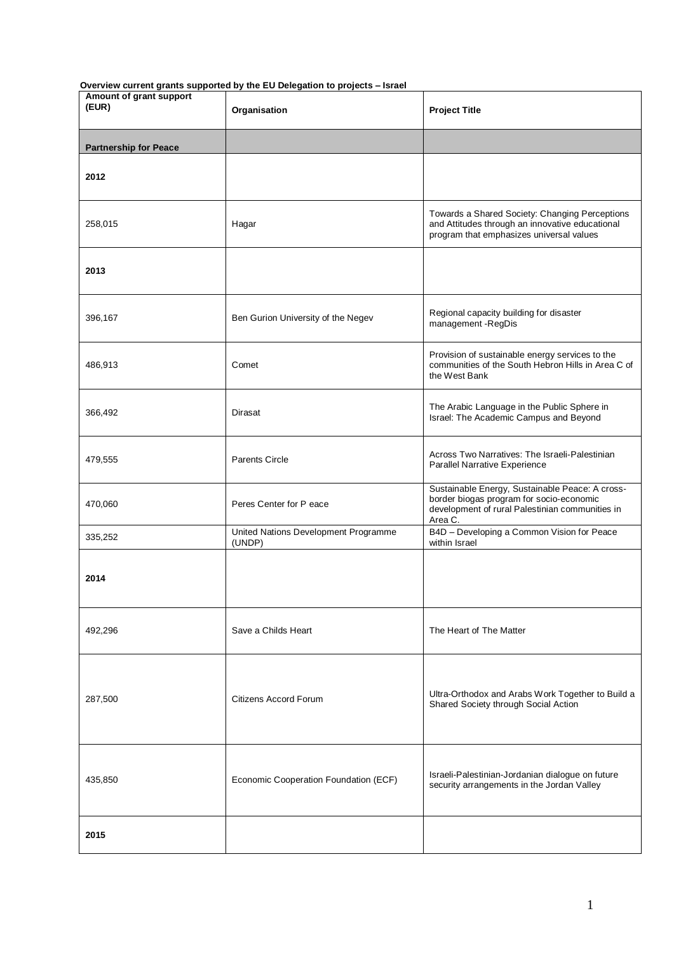**Overview current grants supported by the EU Delegation to projects – Israel**

| Amount of grant support<br>(EUR) | Organisation                                   | <b>Project Title</b>                                                                                                                                      |
|----------------------------------|------------------------------------------------|-----------------------------------------------------------------------------------------------------------------------------------------------------------|
| <b>Partnership for Peace</b>     |                                                |                                                                                                                                                           |
| 2012                             |                                                |                                                                                                                                                           |
| 258,015                          | Hagar                                          | Towards a Shared Society: Changing Perceptions<br>and Attitudes through an innovative educational<br>program that emphasizes universal values             |
| 2013                             |                                                |                                                                                                                                                           |
| 396,167                          | Ben Gurion University of the Negev             | Regional capacity building for disaster<br>management - RegDis                                                                                            |
| 486,913                          | Comet                                          | Provision of sustainable energy services to the<br>communities of the South Hebron Hills in Area C of<br>the West Bank                                    |
| 366,492                          | Dirasat                                        | The Arabic Language in the Public Sphere in<br>Israel: The Academic Campus and Beyond                                                                     |
| 479,555                          | Parents Circle                                 | Across Two Narratives: The Israeli-Palestinian<br>Parallel Narrative Experience                                                                           |
| 470,060                          | Peres Center for P eace                        | Sustainable Energy, Sustainable Peace: A cross-<br>border biogas program for socio-economic<br>development of rural Palestinian communities in<br>Area C. |
| 335,252                          | United Nations Development Programme<br>(UNDP) | B4D - Developing a Common Vision for Peace<br>within Israel                                                                                               |
| 2014                             |                                                |                                                                                                                                                           |
| 492,296                          | Save a Childs Heart                            | The Heart of The Matter                                                                                                                                   |
| 287,500                          | Citizens Accord Forum                          | Ultra-Orthodox and Arabs Work Together to Build a<br>Shared Society through Social Action                                                                 |
| 435,850                          | Economic Cooperation Foundation (ECF)          | Israeli-Palestinian-Jordanian dialogue on future<br>security arrangements in the Jordan Valley                                                            |
| 2015                             |                                                |                                                                                                                                                           |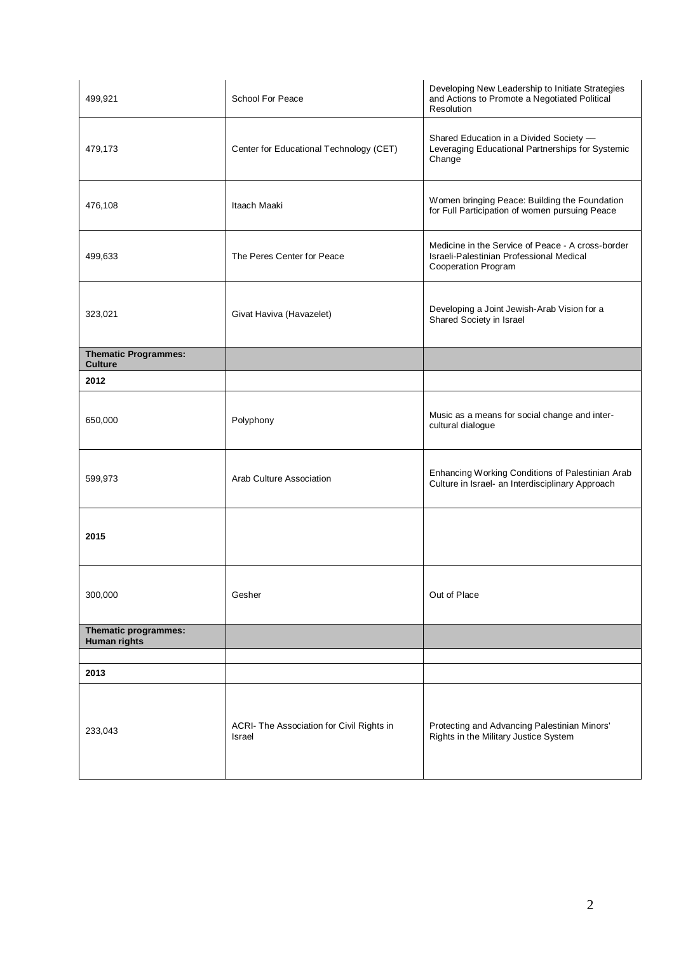| 499,921                                       | School For Peace                                    | Developing New Leadership to Initiate Strategies<br>and Actions to Promote a Negotiated Political<br>Resolution      |
|-----------------------------------------------|-----------------------------------------------------|----------------------------------------------------------------------------------------------------------------------|
| 479,173                                       | Center for Educational Technology (CET)             | Shared Education in a Divided Society -<br>Leveraging Educational Partnerships for Systemic<br>Change                |
| 476,108                                       | Itaach Maaki                                        | Women bringing Peace: Building the Foundation<br>for Full Participation of women pursuing Peace                      |
| 499,633                                       | The Peres Center for Peace                          | Medicine in the Service of Peace - A cross-border<br>Israeli-Palestinian Professional Medical<br>Cooperation Program |
| 323,021                                       | Givat Haviva (Havazelet)                            | Developing a Joint Jewish-Arab Vision for a<br>Shared Society in Israel                                              |
| <b>Thematic Programmes:</b><br><b>Culture</b> |                                                     |                                                                                                                      |
| 2012                                          |                                                     |                                                                                                                      |
| 650,000                                       | Polyphony                                           | Music as a means for social change and inter-<br>cultural dialogue                                                   |
| 599,973                                       | Arab Culture Association                            | Enhancing Working Conditions of Palestinian Arab<br>Culture in Israel- an Interdisciplinary Approach                 |
| 2015                                          |                                                     |                                                                                                                      |
| 300,000                                       | Gesher                                              | Out of Place                                                                                                         |
| Thematic programmes:<br><b>Human rights</b>   |                                                     |                                                                                                                      |
|                                               |                                                     |                                                                                                                      |
| 2013                                          |                                                     |                                                                                                                      |
| 233,043                                       | ACRI- The Association for Civil Rights in<br>Israel | Protecting and Advancing Palestinian Minors'<br>Rights in the Military Justice System                                |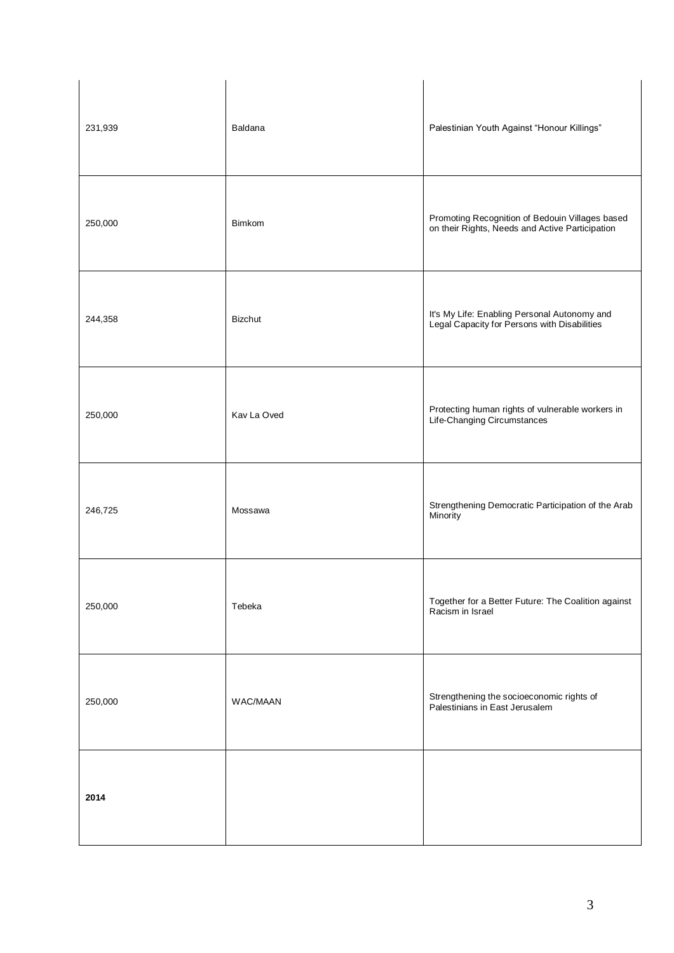| 231,939 | Baldana         | Palestinian Youth Against "Honour Killings"                                                        |
|---------|-----------------|----------------------------------------------------------------------------------------------------|
| 250,000 | Bimkom          | Promoting Recognition of Bedouin Villages based<br>on their Rights, Needs and Active Participation |
| 244,358 | <b>Bizchut</b>  | It's My Life: Enabling Personal Autonomy and<br>Legal Capacity for Persons with Disabilities       |
| 250,000 | Kav La Oved     | Protecting human rights of vulnerable workers in<br>Life-Changing Circumstances                    |
| 246,725 | Mossawa         | Strengthening Democratic Participation of the Arab<br>Minority                                     |
| 250,000 | Tebeka          | Together for a Better Future: The Coalition against<br>Racism in Israel                            |
| 250,000 | <b>WAC/MAAN</b> | Strengthening the socioeconomic rights of<br>Palestinians in East Jerusalem                        |
| 2014    |                 |                                                                                                    |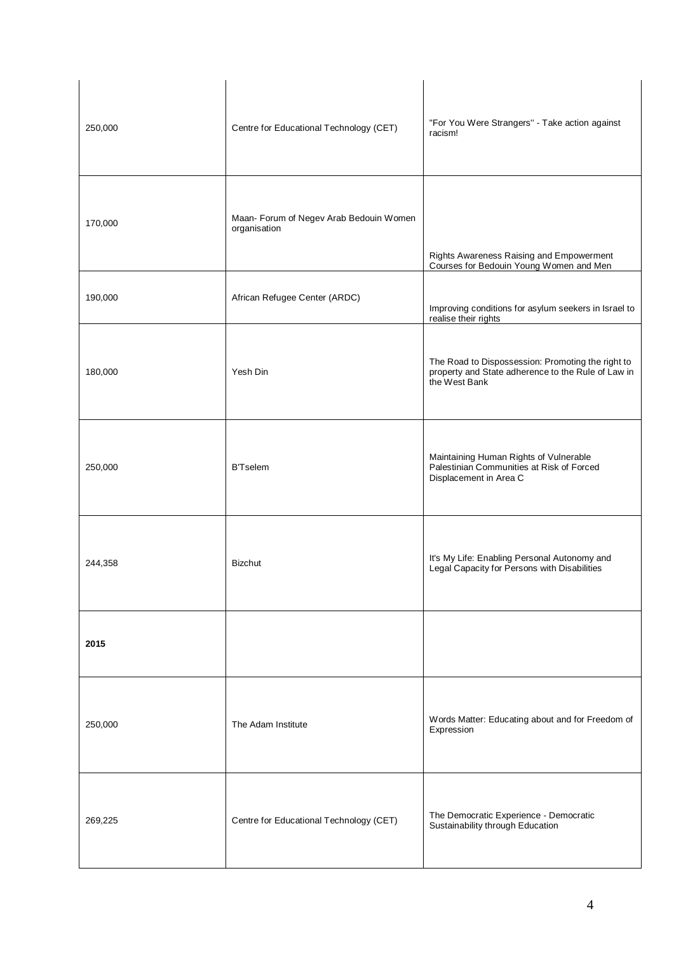| 250,000 | Centre for Educational Technology (CET)                 | "For You Were Strangers" - Take action against<br>racism!                                                                |
|---------|---------------------------------------------------------|--------------------------------------------------------------------------------------------------------------------------|
| 170,000 | Maan- Forum of Negev Arab Bedouin Women<br>organisation | Rights Awareness Raising and Empowerment<br>Courses for Bedouin Young Women and Men                                      |
| 190,000 | African Refugee Center (ARDC)                           | Improving conditions for asylum seekers in Israel to<br>realise their rights                                             |
| 180,000 | Yesh Din                                                | The Road to Dispossession: Promoting the right to<br>property and State adherence to the Rule of Law in<br>the West Bank |
| 250,000 | <b>B'Tselem</b>                                         | Maintaining Human Rights of Vulnerable<br>Palestinian Communities at Risk of Forced<br>Displacement in Area C            |
| 244,358 | <b>Bizchut</b>                                          | It's My Life: Enabling Personal Autonomy and<br>Legal Capacity for Persons with Disabilities                             |
| 2015    |                                                         |                                                                                                                          |
| 250,000 | The Adam Institute                                      | Words Matter: Educating about and for Freedom of<br>Expression                                                           |
| 269,225 | Centre for Educational Technology (CET)                 | The Democratic Experience - Democratic<br>Sustainability through Education                                               |
|         |                                                         |                                                                                                                          |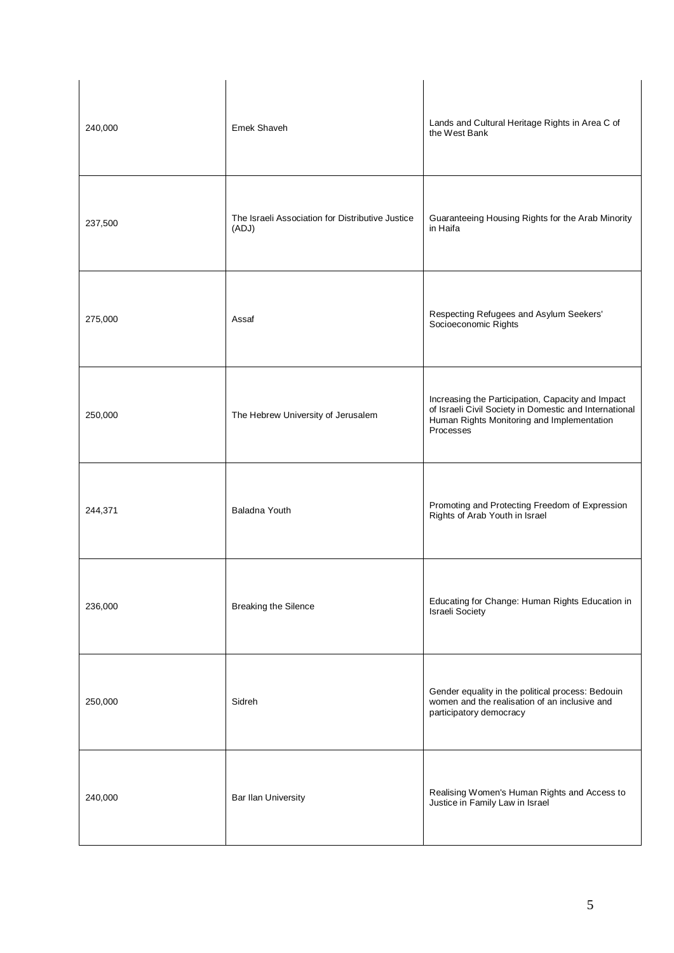| 240,000 | Emek Shaveh                                               | Lands and Cultural Heritage Rights in Area C of<br>the West Bank                                                                                                       |
|---------|-----------------------------------------------------------|------------------------------------------------------------------------------------------------------------------------------------------------------------------------|
| 237,500 | The Israeli Association for Distributive Justice<br>(ADJ) | Guaranteeing Housing Rights for the Arab Minority<br>in Haifa                                                                                                          |
| 275,000 | Assaf                                                     | Respecting Refugees and Asylum Seekers'<br>Socioeconomic Rights                                                                                                        |
| 250,000 | The Hebrew University of Jerusalem                        | Increasing the Participation, Capacity and Impact<br>of Israeli Civil Society in Domestic and International<br>Human Rights Monitoring and Implementation<br>Processes |
| 244,371 | Baladna Youth                                             | Promoting and Protecting Freedom of Expression<br>Rights of Arab Youth in Israel                                                                                       |
| 236,000 | <b>Breaking the Silence</b>                               | Educating for Change: Human Rights Education in<br><b>Israeli Society</b>                                                                                              |
| 250,000 | Sidreh                                                    | Gender equality in the political process: Bedouin<br>women and the realisation of an inclusive and<br>participatory democracy                                          |
| 240,000 | <b>Bar Ilan University</b>                                | Realising Women's Human Rights and Access to<br>Justice in Family Law in Israel                                                                                        |
|         |                                                           |                                                                                                                                                                        |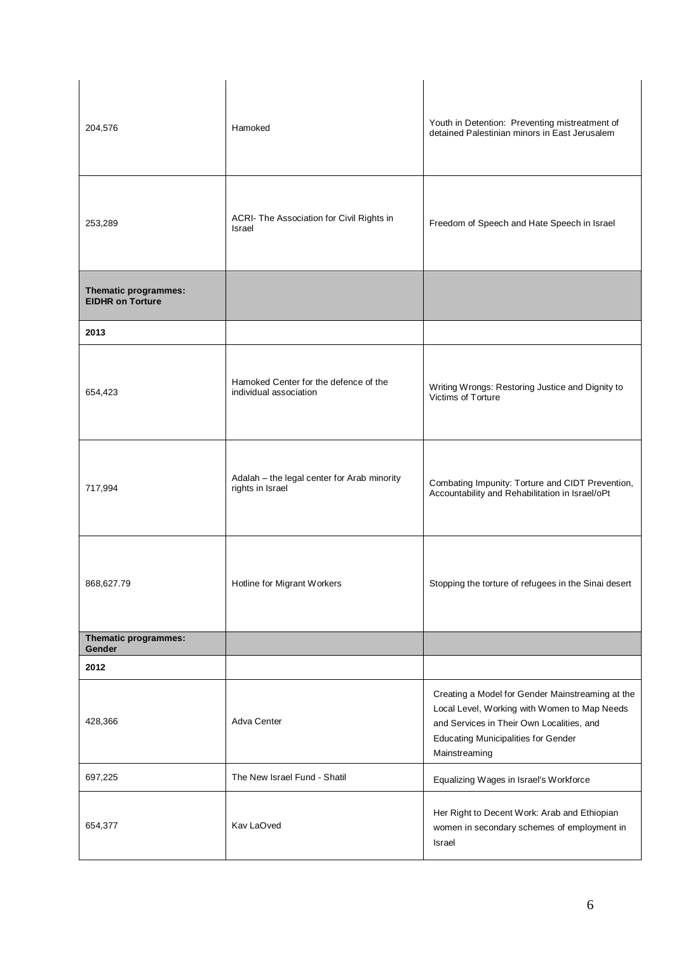| 204,576                                         | Hamoked                                                         | Youth in Detention: Preventing mistreatment of<br>detained Palestinian minors in East Jerusalem                                                                                                              |
|-------------------------------------------------|-----------------------------------------------------------------|--------------------------------------------------------------------------------------------------------------------------------------------------------------------------------------------------------------|
| 253,289                                         | ACRI- The Association for Civil Rights in<br>Israel             | Freedom of Speech and Hate Speech in Israel                                                                                                                                                                  |
| Thematic programmes:<br><b>EIDHR on Torture</b> |                                                                 |                                                                                                                                                                                                              |
| 2013                                            |                                                                 |                                                                                                                                                                                                              |
| 654,423                                         | Hamoked Center for the defence of the<br>individual association | Writing Wrongs: Restoring Justice and Dignity to<br>Victims of Torture                                                                                                                                       |
| 717,994                                         | Adalah - the legal center for Arab minority<br>rights in Israel | Combating Impunity: Torture and CIDT Prevention,<br>Accountability and Rehabilitation in Israel/oPt                                                                                                          |
| 868,627.79                                      | Hotline for Migrant Workers                                     | Stopping the torture of refugees in the Sinai desert                                                                                                                                                         |
| Thematic programmes:<br>Gender                  |                                                                 |                                                                                                                                                                                                              |
| 2012                                            |                                                                 |                                                                                                                                                                                                              |
| 428,366                                         | Adva Center                                                     | Creating a Model for Gender Mainstreaming at the<br>Local Level, Working with Women to Map Needs<br>and Services in Their Own Localities, and<br><b>Educating Municipalities for Gender</b><br>Mainstreaming |
| 697,225                                         | The New Israel Fund - Shatil                                    | Equalizing Wages in Israel's Workforce                                                                                                                                                                       |
| 654,377                                         | Kav LaOved                                                      | Her Right to Decent Work: Arab and Ethiopian<br>women in secondary schemes of employment in<br>Israel                                                                                                        |